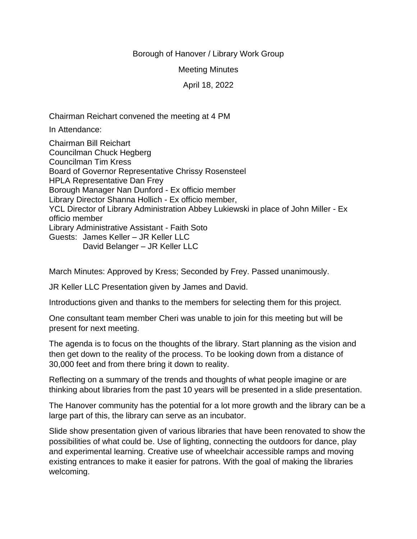## Borough of Hanover / Library Work Group

Meeting Minutes

April 18, 2022

Chairman Reichart convened the meeting at 4 PM

In Attendance:

Chairman Bill Reichart Councilman Chuck Hegberg Councilman Tim Kress Board of Governor Representative Chrissy Rosensteel HPLA Representative Dan Frey Borough Manager Nan Dunford - Ex officio member Library Director Shanna Hollich - Ex officio member, YCL Director of Library Administration Abbey Lukiewski in place of John Miller - Ex officio member Library Administrative Assistant - Faith Soto Guests: James Keller – JR Keller LLC David Belanger – JR Keller LLC

March Minutes: Approved by Kress; Seconded by Frey. Passed unanimously.

JR Keller LLC Presentation given by James and David.

Introductions given and thanks to the members for selecting them for this project.

One consultant team member Cheri was unable to join for this meeting but will be present for next meeting.

The agenda is to focus on the thoughts of the library. Start planning as the vision and then get down to the reality of the process. To be looking down from a distance of 30,000 feet and from there bring it down to reality.

Reflecting on a summary of the trends and thoughts of what people imagine or are thinking about libraries from the past 10 years will be presented in a slide presentation.

The Hanover community has the potential for a lot more growth and the library can be a large part of this, the library can serve as an incubator.

Slide show presentation given of various libraries that have been renovated to show the possibilities of what could be. Use of lighting, connecting the outdoors for dance, play and experimental learning. Creative use of wheelchair accessible ramps and moving existing entrances to make it easier for patrons. With the goal of making the libraries welcoming.